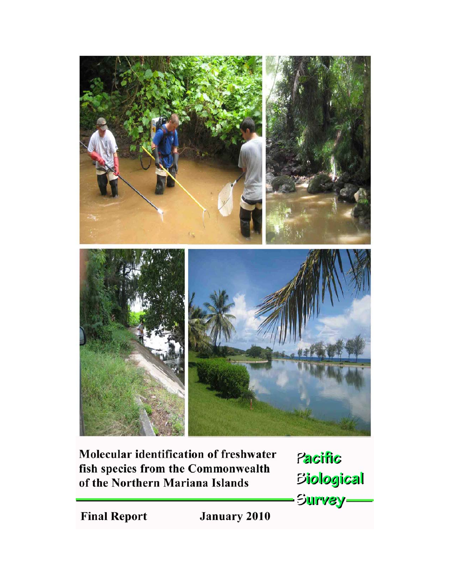

Pacific fish species from the Commonwealth **Biological** of the Northern Mariana Islands Survey-January 2010

**Final Report**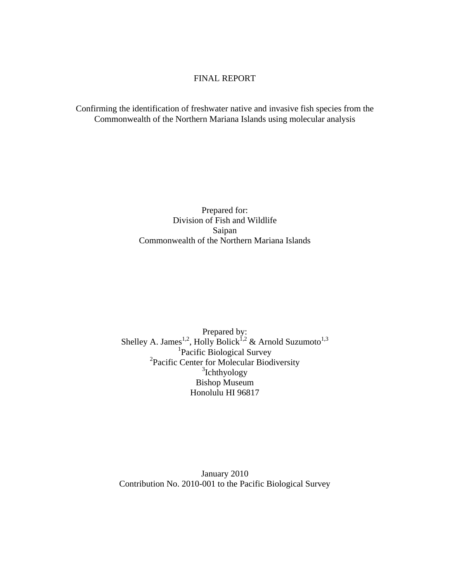## FINAL REPORT

Confirming the identification of freshwater native and invasive fish species from the Commonwealth of the Northern Mariana Islands using molecular analysis

## Prepared for: Division of Fish and Wildlife Saipan Commonwealth of the Northern Mariana Islands

Prepared by: Shelley A. James<sup>1,2</sup>, Holly Bolick<sup>1,2</sup> & Arnold Suzumoto<sup>1,3</sup><br><sup>1</sup>Pacific Biological Survey 2 Pacific Center for Molecular Biodiversity <sup>3</sup>Ichthyology Bishop Museum Honolulu HI 96817

January 2010 Contribution No. 2010-001 to the Pacific Biological Survey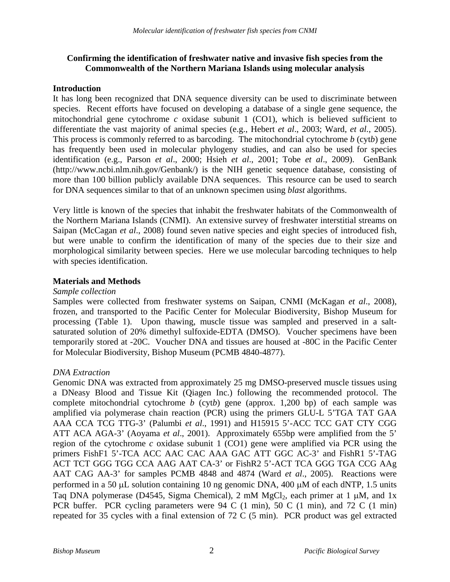# **Confirming the identification of freshwater native and invasive fish species from the Commonwealth of the Northern Mariana Islands using molecular analysis**

# **Introduction**

It has long been recognized that DNA sequence diversity can be used to discriminate between species. Recent efforts have focused on developing a database of a single gene sequence, the mitochondrial gene cytochrome *c* oxidase subunit 1 (CO1), which is believed sufficient to differentiate the vast majority of animal species (e.g., Hebert *et al*., 2003; Ward, *et al.*, 2005). This process is commonly referred to as barcoding. The mitochondrial cytochrome *b* (cyt*b*) gene has frequently been used in molecular phylogeny studies, and can also be used for species identification (e.g., Parson *et al*., 2000; Hsieh *et al*., 2001; Tobe *et al*., 2009). GenBank (http://www.ncbi.nlm.nih.gov/Genbank/) is the NIH genetic sequence database, consisting of more than 100 billion publicly available DNA sequences. This resource can be used to search for DNA sequences similar to that of an unknown specimen using *blast* algorithms.

Very little is known of the species that inhabit the freshwater habitats of the Commonwealth of the Northern Mariana Islands (CNMI). An extensive survey of freshwater interstitial streams on Saipan (McCagan *et al*., 2008) found seven native species and eight species of introduced fish, but were unable to confirm the identification of many of the species due to their size and morphological similarity between species. Here we use molecular barcoding techniques to help with species identification.

## **Materials and Methods**

### *Sample collection*

Samples were collected from freshwater systems on Saipan, CNMI (McKagan *et al*., 2008), frozen, and transported to the Pacific Center for Molecular Biodiversity, Bishop Museum for processing (Table 1). Upon thawing, muscle tissue was sampled and preserved in a saltsaturated solution of 20% dimethyl sulfoxide-EDTA (DMSO). Voucher specimens have been temporarily stored at -20C. Voucher DNA and tissues are housed at -80C in the Pacific Center for Molecular Biodiversity, Bishop Museum (PCMB 4840-4877).

### *DNA Extraction*

Genomic DNA was extracted from approximately 25 mg DMSO-preserved muscle tissues using a DNeasy Blood and Tissue Kit (Qiagen Inc.) following the recommended protocol. The complete mitochondrial cytochrome *b* (cyt*b*) gene (approx. 1,200 bp) of each sample was amplified via polymerase chain reaction (PCR) using the primers GLU-L 5'TGA TAT GAA AAA CCA TCG TTG-3' (Palumbi *et al*., 1991) and H15915 5'-ACC TCC GAT CTY CGG ATT ACA AGA-3' (Aoyama *et al*., 2001). Approximately 655bp were amplified from the 5' region of the cytochrome *c* oxidase subunit 1 (CO1) gene were amplified via PCR using the primers FishF1 5'-TCA ACC AAC CAC AAA GAC ATT GGC AC-3' and FishR1 5'-TAG ACT TCT GGG TGG CCA AAG AAT CA-3' or FishR2 5'-ACT TCA GGG TGA CCG AAg AAT CAG AA-3' for samples PCMB 4848 and 4874 (Ward *et al*., 2005). Reactions were performed in a 50 μL solution containing 10 ng genomic DNA, 400 μM of each dNTP, 1.5 units Taq DNA polymerase (D4545, Sigma Chemical), 2 mM MgCl<sub>2</sub>, each primer at 1  $\mu$ M, and 1x PCR buffer. PCR cycling parameters were 94 C (1 min), 50 C (1 min), and 72 C (1 min) repeated for 35 cycles with a final extension of 72 C (5 min). PCR product was gel extracted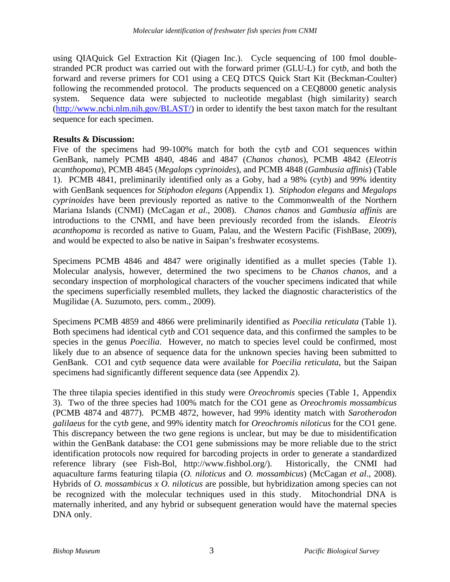using QIAQuick Gel Extraction Kit (Qiagen Inc.). Cycle sequencing of 100 fmol doublestranded PCR product was carried out with the forward primer (GLU-L) for cyt*b*, and both the forward and reverse primers for CO1 using a CEQ DTCS Quick Start Kit (Beckman-Coulter) following the recommended protocol. The products sequenced on a CEQ8000 genetic analysis system. Sequence data were subjected to nucleotide megablast (high similarity) search (http://www.ncbi.nlm.nih.gov/BLAST/) in order to identify the best taxon match for the resultant sequence for each specimen.

# **Results & Discussion:**

Five of the specimens had 99-100% match for both the cyt*b* and CO1 sequences within GenBank, namely PCMB 4840, 4846 and 4847 (*Chanos chanos*), PCMB 4842 (*Eleotris acanthopoma*), PCMB 4845 (*Megalops cyprinoides*), and PCMB 4848 (*Gambusia affinis*) (Table 1). PCMB 4841, preliminarily identified only as a Goby, had a 98% (cyt*b*) and 99% identity with GenBank sequences for *Stiphodon elegans* (Appendix 1). *Stiphodon elegans* and *Megalops cyprinoides* have been previously reported as native to the Commonwealth of the Northern Mariana Islands (CNMI) (McCagan *et al*., 2008). *Chanos chanos* and *Gambusia affinis* are introductions to the CNMI, and have been previously recorded from the islands. *Eleotris acanthopoma* is recorded as native to Guam, Palau, and the Western Pacific (FishBase, 2009), and would be expected to also be native in Saipan's freshwater ecosystems.

Specimens PCMB 4846 and 4847 were originally identified as a mullet species (Table 1). Molecular analysis, however, determined the two specimens to be *Chanos chanos*, and a secondary inspection of morphological characters of the voucher specimens indicated that while the specimens superficially resembled mullets, they lacked the diagnostic characteristics of the Mugilidae (A. Suzumoto, pers. comm., 2009).

Specimens PCMB 4859 and 4866 were preliminarily identified as *Poecilia reticulata* (Table 1). Both specimens had identical cyt*b* and CO1 sequence data, and this confirmed the samples to be species in the genus *Poecilia*. However, no match to species level could be confirmed, most likely due to an absence of sequence data for the unknown species having been submitted to GenBank. CO1 and cyt*b* sequence data were available for *Poecilia reticulata*, but the Saipan specimens had significantly different sequence data (see Appendix 2).

The three tilapia species identified in this study were *Oreochromis* species (Table 1, Appendix 3). Two of the three species had 100% match for the CO1 gene as *Oreochromis mossambicus* (PCMB 4874 and 4877). PCMB 4872, however, had 99% identity match with *Sarotherodon galilaeus* for the cyt*b* gene, and 99% identity match for *Oreochromis niloticus* for the CO1 gene. This discrepancy between the two gene regions is unclear, but may be due to misidentification within the GenBank database: the CO1 gene submissions may be more reliable due to the strict identification protocols now required for barcoding projects in order to generate a standardized reference library (see Fish-Bol, http://www.fishbol.org/). Historically, the CNMI had aquaculture farms featuring tilapia (*O. niloticus* and *O. mossambicus*) (McCagan *et al*., 2008). Hybrids of *O. mossambicus x O. niloticus* are possible, but hybridization among species can not be recognized with the molecular techniques used in this study. Mitochondrial DNA is maternally inherited, and any hybrid or subsequent generation would have the maternal species DNA only.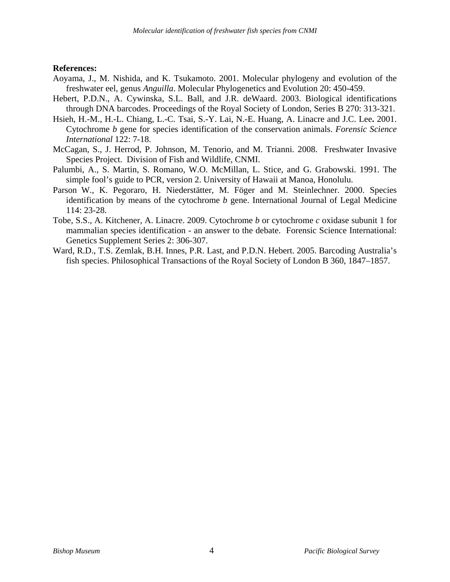### **References:**

- Aoyama, J., M. Nishida, and K. Tsukamoto. 2001. Molecular phylogeny and evolution of the freshwater eel, genus *Anguilla*. Molecular Phylogenetics and Evolution 20: 450-459.
- Hebert, P.D.N., A. Cywinska, S.L. Ball, and J.R. deWaard. 2003. Biological identifications through DNA barcodes. Proceedings of the Royal Society of London, Series B 270: 313-321.
- Hsieh, H.-M., H.-L. Chiang, L.-C. Tsai, S.-Y. Lai, N.-E. Huang, A. Linacre and J.C. Lee**.** 2001. Cytochrome *b* gene for species identification of the conservation animals. *Forensic Science International* 122: 7-18.
- McCagan, S., J. Herrod, P. Johnson, M. Tenorio, and M. Trianni. 2008. Freshwater Invasive Species Project. Division of Fish and Wildlife, CNMI.
- Palumbi, A., S. Martin, S. Romano, W.O. McMillan, L. Stice, and G. Grabowski. 1991. The simple fool's guide to PCR, version 2. University of Hawaii at Manoa, Honolulu.
- Parson W., K. Pegoraro, H. Niederstätter, M. Föger and M. Steinlechner. 2000. Species identification by means of the cytochrome *b* gene. International Journal of Legal Medicine 114: 23-28.
- Tobe, S.S., A. Kitchener, A. Linacre. 2009. Cytochrome *b* or cytochrome *c* oxidase subunit 1 for mammalian species identification - an answer to the debate. Forensic Science International: Genetics Supplement Series 2: 306-307.
- Ward, R.D., T.S. Zemlak, B.H. Innes, P.R. Last, and P.D.N. Hebert. 2005. Barcoding Australia's fish species. Philosophical Transactions of the Royal Society of London B 360, 1847–1857.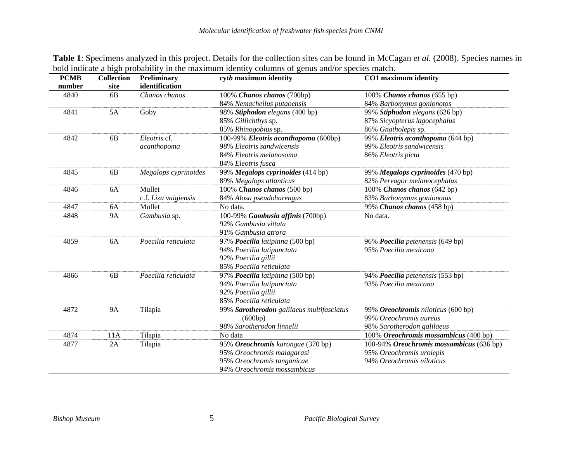| <b>PCMB</b> | <b>Collection</b> | Preliminary          | cytb maximum identity                     | CO1 maximum identity                     |  |  |
|-------------|-------------------|----------------------|-------------------------------------------|------------------------------------------|--|--|
| number      | site              | identification       |                                           |                                          |  |  |
| 4840<br>6B  |                   | Chanos chanos        | 100% Chanos chanos (700bp)                | 100% Chanos chanos (655 bp)              |  |  |
|             |                   |                      | 84% Nemacheilus putaoensis                | 84% Barbonymus gonionotos                |  |  |
| 4841        | 5A                | Goby                 | 98% Stiphodon elegans (400 bp)            | 99% Stiphodon elegans (626 bp)           |  |  |
|             |                   |                      | 85% Gillichthys sp.                       | 87% Sicyopterus lagocephalus             |  |  |
|             |                   |                      | 85% Rhinogobius sp.                       | 86% Gnatholepis sp.                      |  |  |
| 4842        | 6B                | Eleotris cf.         | 100-99% Eleotris acanthopoma (600bp)      | 99% Eleotris acanthopoma (644 bp)        |  |  |
|             |                   | acanthopoma          | 98% Eleotris sandwicensis                 | 99% Eleotris sandwicensis                |  |  |
|             |                   |                      | 84% Eleotris melanosoma                   | 86% Eleotris picta                       |  |  |
|             |                   |                      | 84% Eleotris fusca                        |                                          |  |  |
| 4845        | 6B                | Megalops cyprinoides | 99% Megalops cyprinoides (414 bp)         | 99% Megalops cyprinoides (470 bp)        |  |  |
|             |                   |                      | 89% Megalops atlanticus                   | 82% Pervagor melanocephalus              |  |  |
| 4846        | 6A                | Mullet               | 100% Chanos chanos (500 bp)               | 100% Chanos chanos (642 bp)              |  |  |
|             |                   | c.f. Liza vaigiensis | 84% Alosa pseudoharengus                  | 83% Barbonymus gonionotus                |  |  |
| 4847        | 6A                | Mullet               | No data.                                  | 99% Chanos chanos (458 bp)               |  |  |
| 4848        | <b>9A</b>         | Gambusia sp.         | 100-99% Gambusia affinis (700bp)          | No data.                                 |  |  |
|             |                   |                      | 92% Gambusia vittata                      |                                          |  |  |
|             |                   |                      | 91% Gambusia atrora                       |                                          |  |  |
| 4859        | 6A                | Poecilia reticulata  | 97% Poecilia latipinna (500 bp)           | 96% Poecilia petenensis (649 bp)         |  |  |
|             |                   |                      | 94% Poecilia latipunctata                 | 95% Poecilia mexicana                    |  |  |
|             |                   |                      | 92% Poecilia gillii                       |                                          |  |  |
|             |                   |                      | 85% Poecilia reticulata                   |                                          |  |  |
| 4866        | 6 <sub>B</sub>    | Poecilia reticulata  | 97% Poecilia latipinna (500 bp)           | 94% Poecilia petenensis (553 bp)         |  |  |
|             |                   |                      | 94% Poecilia latipunctata                 | 93% Poecilia mexicana                    |  |  |
|             |                   |                      | 92% Poecilia gillii                       |                                          |  |  |
|             |                   |                      | 85% Poecilia reticulata                   |                                          |  |  |
| 4872        | <b>9A</b>         | Tilapia              | 99% Sarotherodon galilaeus multifasciatus | 99% Oreochromis niloticus (600 bp)       |  |  |
|             |                   |                      | (600bp)                                   | 99% Oreochromis aureus                   |  |  |
|             |                   |                      | 98% Sarotherodon linnelii                 | 98% Sarotherodon galilaeus               |  |  |
| 4874        | 11A               | Tilapia              | No data                                   | 100% Oreochromis mossambicus (400 bp)    |  |  |
| 4877        | 2A                | Tilapia              | 95% Oreochromis karongae (370 bp)         | 100-94% Oreochromis mossambicus (636 bp) |  |  |
|             |                   |                      | 95% Oreochromis malagarasi                | 95% Oreochromis urolepis                 |  |  |
|             |                   |                      | 95% Oreochromis tanganicae                | 94% Oreochromis niloticus                |  |  |
|             |                   |                      | 94% Oreochromis mossambicus               |                                          |  |  |

**Table 1**: Specimens analyzed in this project. Details for the collection sites can be found in McCagan *et al.* (2008). Species names in bold indicate a high probability in the maximum identity columns of genus and/or species match.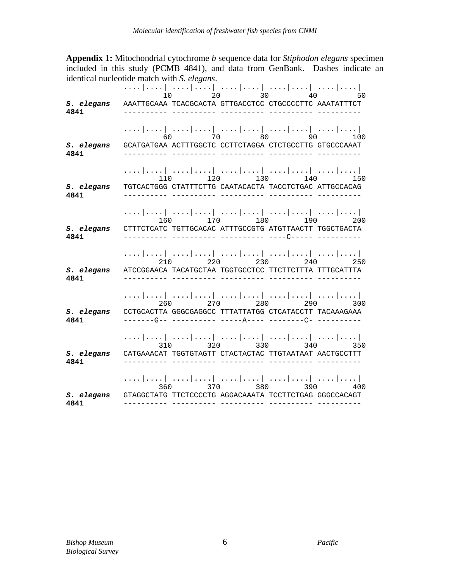**Appendix 1:** Mitochondrial cytochrome *b* sequence data for *Stiphodon elegans* specimen included in this study (PCMB 4841), and data from GenBank. Dashes indicate an identical nucleotide match with *S. elegans*.

|                    | 20 30 40<br>10<br>50                                                                                                                 |
|--------------------|--------------------------------------------------------------------------------------------------------------------------------------|
| S. elegans<br>4841 | AAATTGCAAA TCACGCACTA GTTGACCTCC CTGCCCCTTC AAATATTTCT                                                                               |
| S. elegans<br>4841 | 60 70 80 90 100<br>GCATGATGAA ACTTTGGCTC CCTTCTAGGA CTCTGCCTTG GTGCCCAAAT                                                            |
| S. elegans<br>4841 | 110 120 130 140 150<br>TGTCACTGGG CTATTTCTTG CAATACACTA TACCTCTGAC ATTGCCACAG                                                        |
| S. elegans<br>4841 | $160$ $170$ $180$ $190$<br>200<br>CTTTCTCATC TGTTGCACAC ATTTGCCGTG ATGTTAACTT TGGCTGACTA                                             |
| S. elegans<br>4841 | 210 220 230 240<br>ATCCGGAACA TACATGCTAA TGGTGCCTCC TTCTTCTTTA TTTGCATTTA                                                            |
| S. elegans<br>4841 | 260 270 280<br>290 000<br>300<br>CCTGCACTTA GGGCGAGGCC TTTATTATGG CTCATACCTT TACAAAGAAA                                              |
| S. elegans<br>4841 | 310 320 330 340 350<br>CATGAAACAT TGGTGTAGTT CTACTACTAC TTGTAATAAT AACTGCCTTT                                                        |
| S. elegans<br>4841 | المتمامية المتمارينية المتمامية المتمامية المتمامية<br>360 370 380 390 400<br>GTAGGCTATG TTCTCCCCTG AGGACAAATA TCCTTCTGAG GGGCCACAGT |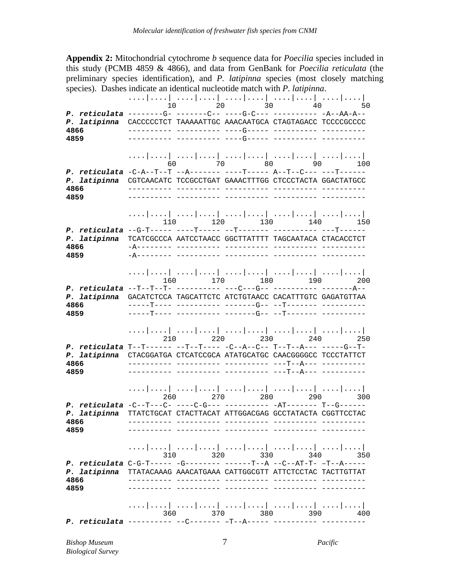**Appendix 2:** Mitochondrial cytochrome *b* sequence data for *Poecilia* species included in this study (PCMB 4859 & 4866), and data from GenBank for *Poecilia reticulata* (the preliminary species identification), and *P. latipinna* species (most closely matching species). Dashes indicate an identical nucleotide match with *P. latipinna*.

....|....| ....|....| ....|....| ....|....| ....|....| 10 20 30 40 50 *P. reticulata* --------G- -------C-- ----G-C--- ---------- -A--AA-A-- *P. latipinna* CACCCCCTCT TAAAAATTGC AAACAATGCA CTAGTAGACC TCCCCGCCCC **4866** ---------- ---------- ----G----- ---------- ---------- **4859** ---------- ---------- ----G----- ---------- ---------- ....|....| ....|....| ....|....| ....|....| ....|....| 60 70 80 90 100 *P. reticulata* -C-A--T--T --A------- ----T----- A--T--C--- ---T------ *P. latipinna* CGTCAACATC TCCGCCTGAT GAAACTTTGG CTCCCTACTA GGACTATGCC **4866** ---------- ---------- ---------- ---------- ---------- **4859** ---------- ---------- ---------- ---------- ---------- ....|....| ....|....| ....|....| ....|....| ....|....| 110 120 130 140 150 *P. reticulata* --G-T----- ----T----- --T------- ---------- ---T------ *P. latipinna* TCATCGCCCA AATCCTAACC GGCTTATTTT TAGCAATACA CTACACCTCT **4866** -A-------- ---------- ---------- ---------- ---------- **4859** -A-------- ---------- ---------- ---------- ---------- ....|....| ....|....| ....|....| ....|....| ....|....| 160 170 180 190 200 *P. reticulata* --T--T--T- ---------- ---C---G-- ---------- -------A-- *P. latipinna* GACATCTCCA TAGCATTCTC ATCTGTAACC CACATTTGTC GAGATGTTAA **4866** -----T---- ---------- -------G-- --T------- ---------- **4859** -----T---- ---------- -------G-- --T------- ---------- ...| ....| ....| ....| ....| ....| ....| ....| ....| ....| ....| ....| ....| ....| ....| ....| ....| 210 220 230 240 250 *P. reticulata* T--T------ --T--T---- -C--A--C-- T--T--A--- -----G--T-*P. latipinna* CTACGGATGA CTCATCCGCA ATATGCATGC CAACGGGGCC TCCCTATTCT **4866** ---------- ---------- ---------- ---T--A--- ---------- **4859** ---------- ---------- ---------- ---T--A--- ---------- ....|....| ....|....| ....|....| ....|....| ....|....| 260 270 280 290 300 *P. reticulata* -C--T---C- ----C-G--- ---------- -AT------- T--G------ *P. latipinna* TTATCTGCAT CTACTTACAT ATTGGACGAG GCCTATACTA CGGTTCCTAC **4866** ---------- ---------- ---------- ---------- ---------- **4859** ---------- ---------- ---------- ---------- ---------- ....|....| ....|....| ....|....| ....|....| ....|....| 310 320 330 340 350 *P. reticulata* C-G-T----- -G-------- ------T--A --C--AT-T- –T--A----- *P. latipinna* TTATACAAAG AAACATGAAA CATTGGCGTT ATTCTCCTAC TACTTGTTAT **4866** ---------- ---------- ---------- ---------- ---------- **4859** ---------- ---------- ---------- ---------- ---------- ....|....| ....|....| ....|....| ....|....| ....|....| 360 370 380 390 400 *P. reticulata* ---------- --C------- –T--A----- ---------- ----------

*Bishop Museum* 7 *Pacific Biological Survey*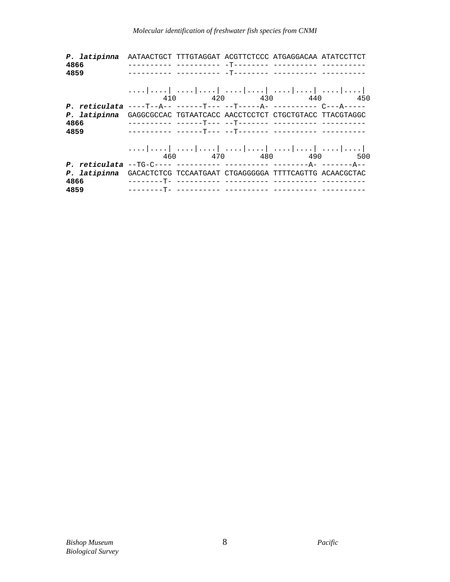## *Molecular identification of freshwater fish species from CNMI*

|              | P. latipinna AATAACTGCT TTTGTAGGAT ACGTTCTCCC ATGAGGACAA ATATCCTTCT |
|--------------|---------------------------------------------------------------------|
| 4866         |                                                                     |
| 4859         |                                                                     |
|              |                                                                     |
|              |                                                                     |
|              | 410 420 430 440 450                                                 |
|              |                                                                     |
| P. latipinna | GAGGCGCCAC TGTAATCACC AACCTCCTCT CTGCTGTACC TTACGTAGGC              |
| 4866         |                                                                     |
| 4859         |                                                                     |
|              |                                                                     |
|              |                                                                     |
|              | 460 470 480 490 500                                                 |
|              |                                                                     |
|              | P. latipinna GACACTCTCG TCCAATGAAT CTGAGGGGGA TTTTCAGTTG ACAACGCTAC |
| 4866         |                                                                     |
| 4859         |                                                                     |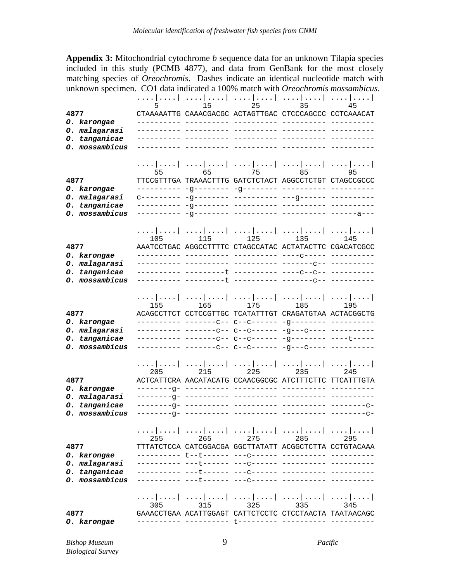**Appendix 3:** Mitochondrial cytochrome *b* sequence data for an unknown Tilapia species included in this study (PCMB 4877), and data from GenBank for the most closely matching species of *Oreochromis*. Dashes indicate an identical nucleotide match with unknown specimen. CO1 data indicated a 100% match with *Oreochromis mossambicus*.

|                                 |     |     |     | <br>$5$ 15 25 35                                       | 45  |
|---------------------------------|-----|-----|-----|--------------------------------------------------------|-----|
|                                 |     |     |     | CTAAAAATTG CAAACGACGC ACTAGTTGAC CTCCCAGCCC CCTCAAACAT |     |
| 0. karongae                     |     |     |     |                                                        |     |
| O. malagarasi                   |     |     |     |                                                        |     |
| 0. tanganicae                   |     |     |     |                                                        |     |
| 0. mossambicus                  |     |     |     |                                                        |     |
|                                 |     |     |     |                                                        |     |
|                                 |     |     |     |                                                        |     |
| 4877                            |     |     |     | TTCCGTTTGA TRAAACTTTG GATCTCTACT AGGCCTCTGT CTAGCCGCCC |     |
| 0. karongae                     |     |     |     |                                                        |     |
| O. malagarasi                   |     |     |     |                                                        |     |
| O. tanganicae                   |     |     |     |                                                        |     |
| O. mossambicus                  |     |     |     |                                                        |     |
|                                 |     |     |     |                                                        |     |
|                                 |     |     |     |                                                        |     |
|                                 |     |     |     | 105 115 125 135 145                                    |     |
| 4877                            |     |     |     | AAATCCTGAC AGGCCTTTTC CTAGCCATAC ACTATACTTC CGACATCGCC |     |
| 0. karongae                     |     |     |     |                                                        |     |
| O. malagarasi                   |     |     |     |                                                        |     |
| 0. tanganicae<br>O. mossambicus |     |     |     |                                                        |     |
|                                 |     |     |     |                                                        |     |
|                                 |     |     |     |                                                        |     |
|                                 |     |     |     | 155 165 175 185 195                                    |     |
| 4877                            |     |     |     | ACAGCCTTCT CCTCCGTTGC TCATATTTGT CRAGATGTAA ACTACGGCTG |     |
| 0. karongae                     |     |     |     |                                                        |     |
| O. malagarasi                   |     |     |     |                                                        |     |
| 0. tanganicae                   |     |     |     |                                                        |     |
| O. mossambicus                  |     |     |     |                                                        |     |
|                                 |     |     |     |                                                        |     |
|                                 | 205 |     |     | <br>215 225 235 245                                    |     |
| 4877                            |     |     |     | ACTCATTCRA AACATACATG CCAACGGCGC ATCTTTCTTC TTCATTTGTA |     |
| 0. karongae                     |     |     |     |                                                        |     |
| O. malagarasi                   |     |     |     |                                                        |     |
| 0. tanganicae                   |     |     |     |                                                        |     |
| O. mossambicus                  |     |     |     |                                                        |     |
|                                 |     |     |     |                                                        |     |
|                                 |     |     |     |                                                        |     |
|                                 | 255 | 265 | 275 | 285                                                    | 295 |
| 4877                            |     |     |     | TTTATCTCCA CATCGGACGA GGCTTATATT ACGGCTCTTA CCTGTACAAA |     |
| 0. karongae                     |     |     |     |                                                        |     |
| O. malagarasi<br>0. tanganicae  |     |     |     |                                                        |     |
| O. mossambicus                  |     |     |     |                                                        |     |
|                                 |     |     |     |                                                        |     |
|                                 |     |     |     |                                                        |     |
|                                 | 305 | 315 | 325 | 335                                                    |     |
| 4877                            |     |     |     | GAAACCTGAA ACATTGGAGT CATTCTCCTC CTCCTAACTA TAATAACAGC |     |
| O. karongae                     |     |     |     |                                                        |     |